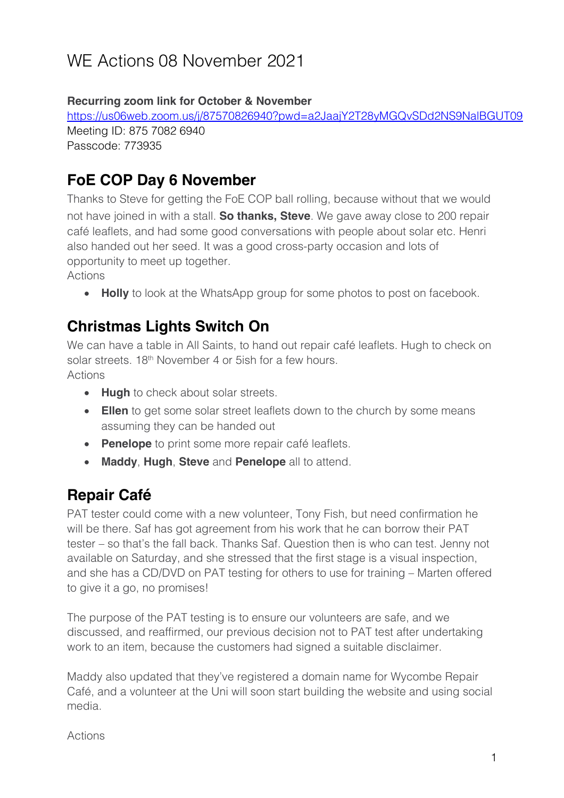# WE Actions 08 November 2021

#### **Recurring zoom link for October & November**

https://us06web.zoom.us/j/87570826940?pwd=a2JaajY2T28yMGQvSDd2NS9NalBGUT09 Meeting ID: 875 7082 6940 Passcode: 773935

#### **FoE COP Day 6 November**

Thanks to Steve for getting the FoE COP ball rolling, because without that we would not have joined in with a stall. **So thanks, Steve**. We gave away close to 200 repair café leaflets, and had some good conversations with people about solar etc. Henri also handed out her seed. It was a good cross-party occasion and lots of opportunity to meet up together.

Actions

• **Holly** to look at the WhatsApp group for some photos to post on facebook.

#### **Christmas Lights Switch On**

We can have a table in All Saints, to hand out repair café leaflets. Hugh to check on solar streets. 18<sup>th</sup> November 4 or 5ish for a few hours. Actions

- **Hugh** to check about solar streets.
- **Ellen** to get some solar street leaflets down to the church by some means assuming they can be handed out
- **Penelope** to print some more repair café leaflets.
- **Maddy**, **Hugh**, **Steve** and **Penelope** all to attend.

## **Repair Café**

PAT tester could come with a new volunteer, Tony Fish, but need confirmation he will be there. Saf has got agreement from his work that he can borrow their PAT tester – so that's the fall back. Thanks Saf. Question then is who can test. Jenny not available on Saturday, and she stressed that the first stage is a visual inspection, and she has a CD/DVD on PAT testing for others to use for training – Marten offered to give it a go, no promises!

The purpose of the PAT testing is to ensure our volunteers are safe, and we discussed, and reaffirmed, our previous decision not to PAT test after undertaking work to an item, because the customers had signed a suitable disclaimer.

Maddy also updated that they've registered a domain name for Wycombe Repair Café, and a volunteer at the Uni will soon start building the website and using social media.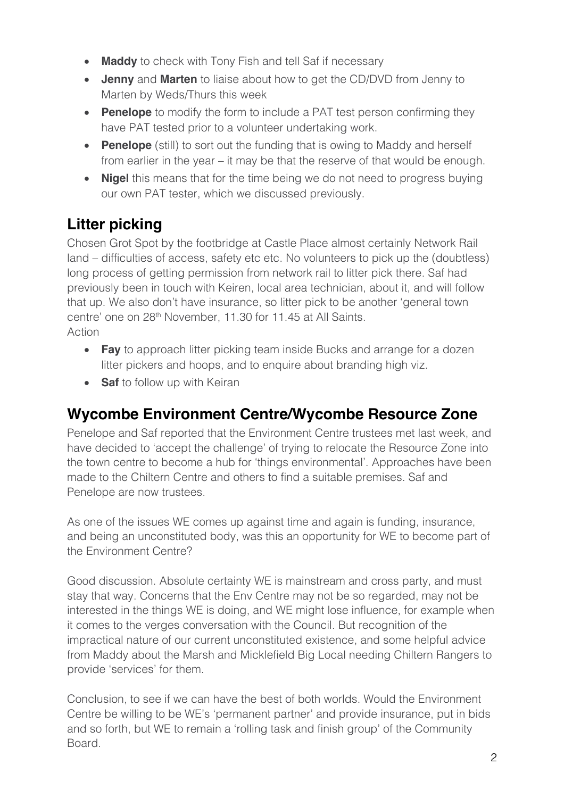- **Maddy** to check with Tony Fish and tell Saf if necessary
- **Jenny** and **Marten** to liaise about how to get the CD/DVD from Jenny to Marten by Weds/Thurs this week
- **Penelope** to modify the form to include a PAT test person confirming they have PAT tested prior to a volunteer undertaking work.
- **Penelope** (still) to sort out the funding that is owing to Maddy and herself from earlier in the year – it may be that the reserve of that would be enough.
- **Nigel** this means that for the time being we do not need to progress buying our own PAT tester, which we discussed previously.

# **Litter picking**

Chosen Grot Spot by the footbridge at Castle Place almost certainly Network Rail land – difficulties of access, safety etc etc. No volunteers to pick up the (doubtless) long process of getting permission from network rail to litter pick there. Saf had previously been in touch with Keiren, local area technician, about it, and will follow that up. We also don't have insurance, so litter pick to be another 'general town centre' one on 28<sup>th</sup> November, 11.30 for 11.45 at All Saints. Action

- **Fay** to approach litter picking team inside Bucks and arrange for a dozen litter pickers and hoops, and to enquire about branding high viz.
- **Saf** to follow up with Keiran

#### **Wycombe Environment Centre/Wycombe Resource Zone**

Penelope and Saf reported that the Environment Centre trustees met last week, and have decided to 'accept the challenge' of trying to relocate the Resource Zone into the town centre to become a hub for 'things environmental'. Approaches have been made to the Chiltern Centre and others to find a suitable premises. Saf and Penelope are now trustees.

As one of the issues WE comes up against time and again is funding, insurance, and being an unconstituted body, was this an opportunity for WE to become part of the Environment Centre?

Good discussion. Absolute certainty WE is mainstream and cross party, and must stay that way. Concerns that the Env Centre may not be so regarded, may not be interested in the things WE is doing, and WE might lose influence, for example when it comes to the verges conversation with the Council. But recognition of the impractical nature of our current unconstituted existence, and some helpful advice from Maddy about the Marsh and Micklefield Big Local needing Chiltern Rangers to provide 'services' for them.

Conclusion, to see if we can have the best of both worlds. Would the Environment Centre be willing to be WE's 'permanent partner' and provide insurance, put in bids and so forth, but WE to remain a 'rolling task and finish group' of the Community Board.